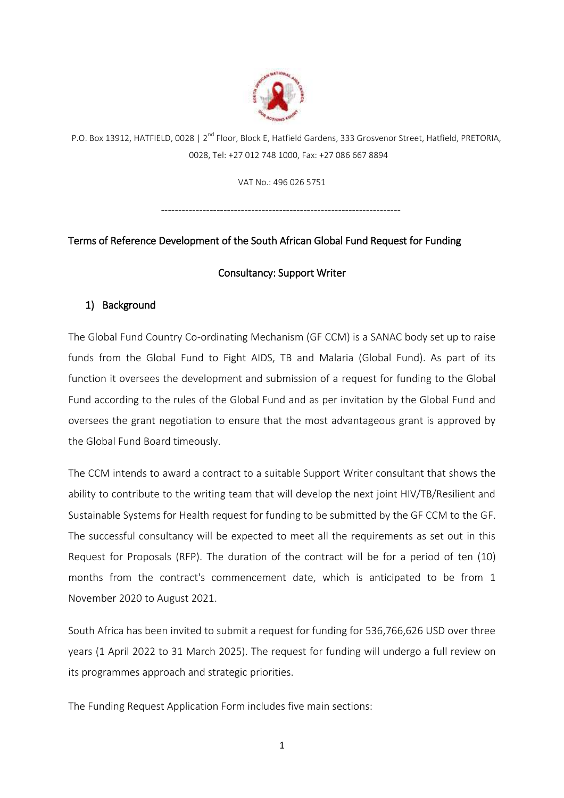

P.O. Box 13912, HATFIELD, 0028 | 2<sup>nd</sup> Floor, Block E, Hatfield Gardens, 333 Grosvenor Street, Hatfield, PRETORIA, 0028, Tel: +27 012 748 1000, Fax: +27 086 667 8894

VAT No.: 496 026 5751

---------------------------------------------------------------------

# Terms of Reference Development of the South African Global Fund Request for Funding

# Consultancy: Support Writer

# 1) Background

The Global Fund Country Co-ordinating Mechanism (GF CCM) is a SANAC body set up to raise funds from the Global Fund to Fight AIDS, TB and Malaria (Global Fund). As part of its function it oversees the development and submission of a request for funding to the Global Fund according to the rules of the Global Fund and as per invitation by the Global Fund and oversees the grant negotiation to ensure that the most advantageous grant is approved by the Global Fund Board timeously.

The CCM intends to award a contract to a suitable Support Writer consultant that shows the ability to contribute to the writing team that will develop the next joint HIV/TB/Resilient and Sustainable Systems for Health request for funding to be submitted by the GF CCM to the GF. The successful consultancy will be expected to meet all the requirements as set out in this Request for Proposals (RFP). The duration of the contract will be for a period of ten (10) months from the contract's commencement date, which is anticipated to be from 1 November 2020 to August 2021.

South Africa has been invited to submit a request for funding for 536,766,626 USD over three years (1 April 2022 to 31 March 2025). The request for funding will undergo a full review on its programmes approach and strategic priorities.

The Funding Request Application Form includes five main sections: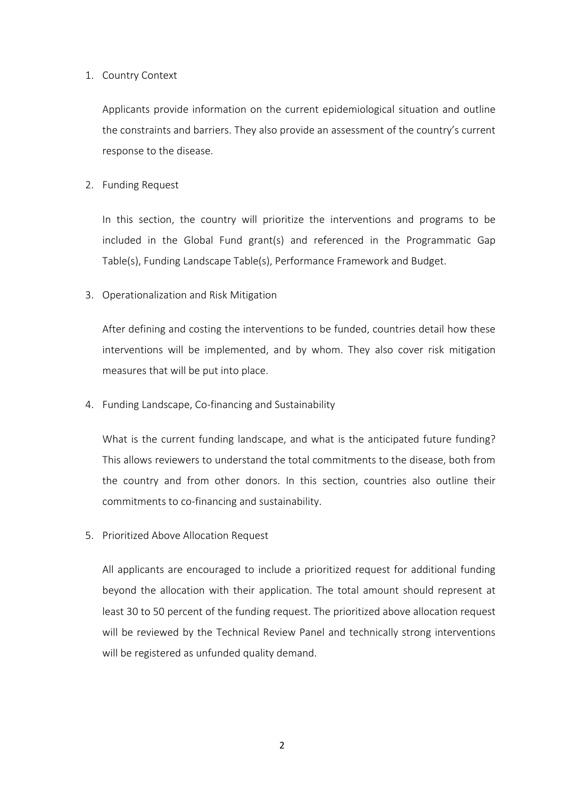### 1. Country Context

Applicants provide information on the current epidemiological situation and outline the constraints and barriers. They also provide an assessment of the country's current response to the disease.

# 2. Funding Request

In this section, the country will prioritize the interventions and programs to be included in the Global Fund grant(s) and referenced in the Programmatic Gap Table(s), Funding Landscape Table(s), Performance Framework and Budget.

## 3. Operationalization and Risk Mitigation

After defining and costing the interventions to be funded, countries detail how these interventions will be implemented, and by whom. They also cover risk mitigation measures that will be put into place.

4. Funding Landscape, Co-financing and Sustainability

What is the current funding landscape, and what is the anticipated future funding? This allows reviewers to understand the total commitments to the disease, both from the country and from other donors. In this section, countries also outline their commitments to co-financing and sustainability.

5. Prioritized Above Allocation Request

All applicants are encouraged to include a prioritized request for additional funding beyond the allocation with their application. The total amount should represent at least 30 to 50 percent of the funding request. The prioritized above allocation request will be reviewed by the Technical Review Panel and technically strong interventions will be registered as unfunded quality demand.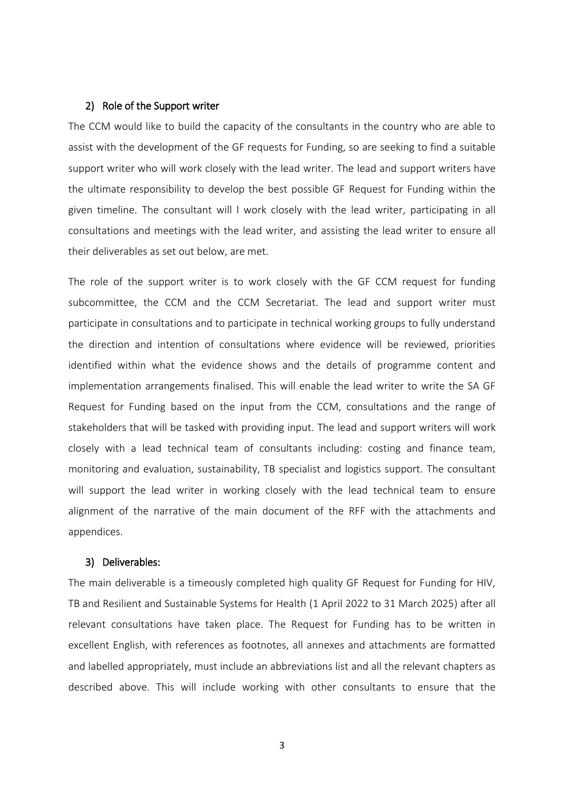#### 2) Role of the Support writer

The CCM would like to build the capacity of the consultants in the country who are able to assist with the development of the GF requests for Funding, so are seeking to find a suitable support writer who will work closely with the lead writer. The lead and support writers have the ultimate responsibility to develop the best possible GF Request for Funding within the given timeline. The consultant will l work closely with the lead writer, participating in all consultations and meetings with the lead writer, and assisting the lead writer to ensure all their deliverables as set out below, are met.

The role of the support writer is to work closely with the GF CCM request for funding subcommittee, the CCM and the CCM Secretariat. The lead and support writer must participate in consultations and to participate in technical working groups to fully understand the direction and intention of consultations where evidence will be reviewed, priorities identified within what the evidence shows and the details of programme content and implementation arrangements finalised. This will enable the lead writer to write the SA GF Request for Funding based on the input from the CCM, consultations and the range of stakeholders that will be tasked with providing input. The lead and support writers will work closely with a lead technical team of consultants including: costing and finance team, monitoring and evaluation, sustainability, TB specialist and logistics support. The consultant will support the lead writer in working closely with the lead technical team to ensure alignment of the narrative of the main document of the RFF with the attachments and appendices.

#### 3) Deliverables:

The main deliverable is a timeously completed high quality GF Request for Funding for HIV, TB and Resilient and Sustainable Systems for Health (1 April 2022 to 31 March 2025) after all relevant consultations have taken place. The Request for Funding has to be written in excellent English, with references as footnotes, all annexes and attachments are formatted and labelled appropriately, must include an abbreviations list and all the relevant chapters as described above. This will include working with other consultants to ensure that the

3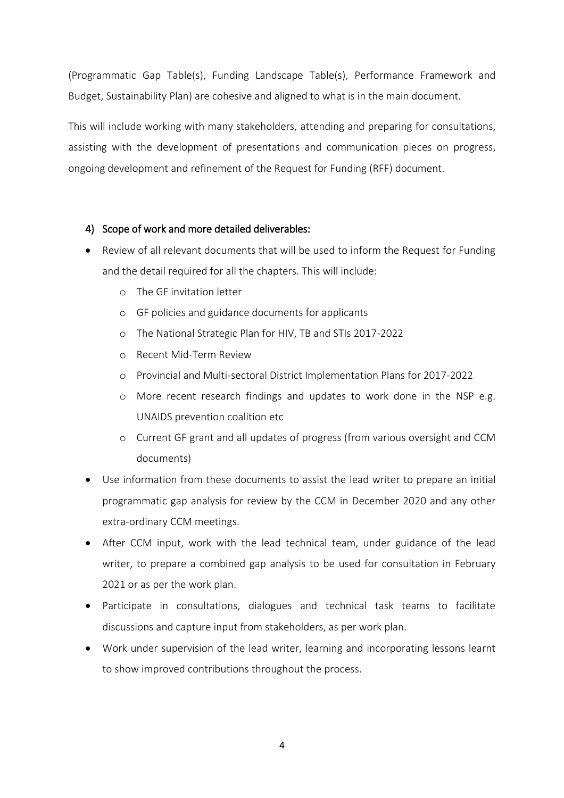(Programmatic Gap Table(s), Funding Landscape Table(s), Performance Framework and Budget, Sustainability Plan) are cohesive and aligned to what is in the main document.

This will include working with many stakeholders, attending and preparing for consultations, assisting with the development of presentations and communication pieces on progress, ongoing development and refinement of the Request for Funding (RFF) document.

## 4) Scope of work and more detailed deliverables:

- Review of all relevant documents that will be used to inform the Request for Funding and the detail required for all the chapters. This will include:
	- o The GF invitation letter
	- o GF policies and guidance documents for applicants
	- o The National Strategic Plan for HIV, TB and STIs 2017-2022
	- o Recent Mid-Term Review
	- o Provincial and Multi-sectoral District Implementation Plans for 2017-2022
	- o More recent research findings and updates to work done in the NSP e.g. UNAIDS prevention coalition etc
	- o Current GF grant and all updates of progress (from various oversight and CCM documents)
- Use information from these documents to assist the lead writer to prepare an initial programmatic gap analysis for review by the CCM in December 2020 and any other extra-ordinary CCM meetings.
- After CCM input, work with the lead technical team, under guidance of the lead writer, to prepare a combined gap analysis to be used for consultation in February 2021 or as per the work plan.
- Participate in consultations, dialogues and technical task teams to facilitate discussions and capture input from stakeholders, as per work plan.
- Work under supervision of the lead writer, learning and incorporating lessons learnt to show improved contributions throughout the process.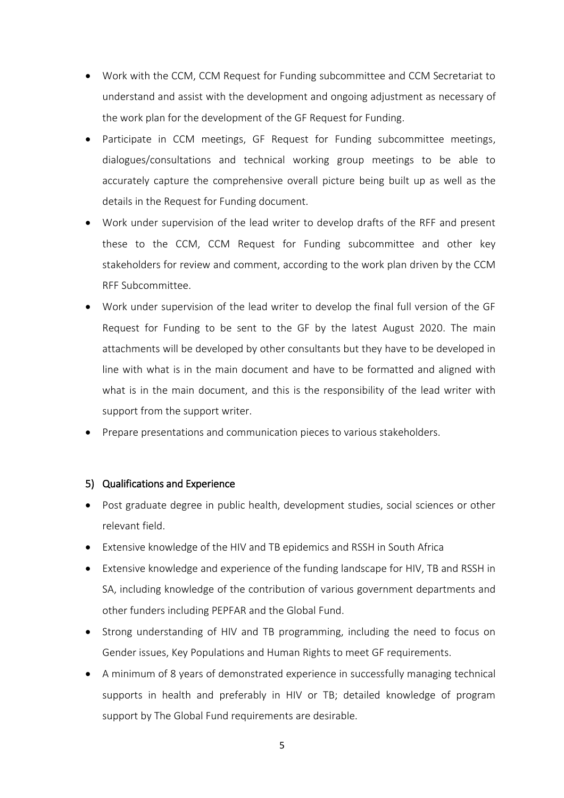- Work with the CCM, CCM Request for Funding subcommittee and CCM Secretariat to understand and assist with the development and ongoing adjustment as necessary of the work plan for the development of the GF Request for Funding.
- Participate in CCM meetings, GF Request for Funding subcommittee meetings, dialogues/consultations and technical working group meetings to be able to accurately capture the comprehensive overall picture being built up as well as the details in the Request for Funding document.
- Work under supervision of the lead writer to develop drafts of the RFF and present these to the CCM, CCM Request for Funding subcommittee and other key stakeholders for review and comment, according to the work plan driven by the CCM RFF Subcommittee.
- Work under supervision of the lead writer to develop the final full version of the GF Request for Funding to be sent to the GF by the latest August 2020. The main attachments will be developed by other consultants but they have to be developed in line with what is in the main document and have to be formatted and aligned with what is in the main document, and this is the responsibility of the lead writer with support from the support writer.
- Prepare presentations and communication pieces to various stakeholders.

#### 5) Qualifications and Experience

- Post graduate degree in public health, development studies, social sciences or other relevant field.
- Extensive knowledge of the HIV and TB epidemics and RSSH in South Africa
- Extensive knowledge and experience of the funding landscape for HIV, TB and RSSH in SA, including knowledge of the contribution of various government departments and other funders including PEPFAR and the Global Fund.
- Strong understanding of HIV and TB programming, including the need to focus on Gender issues, Key Populations and Human Rights to meet GF requirements.
- A minimum of 8 years of demonstrated experience in successfully managing technical supports in health and preferably in HIV or TB; detailed knowledge of program support by The Global Fund requirements are desirable.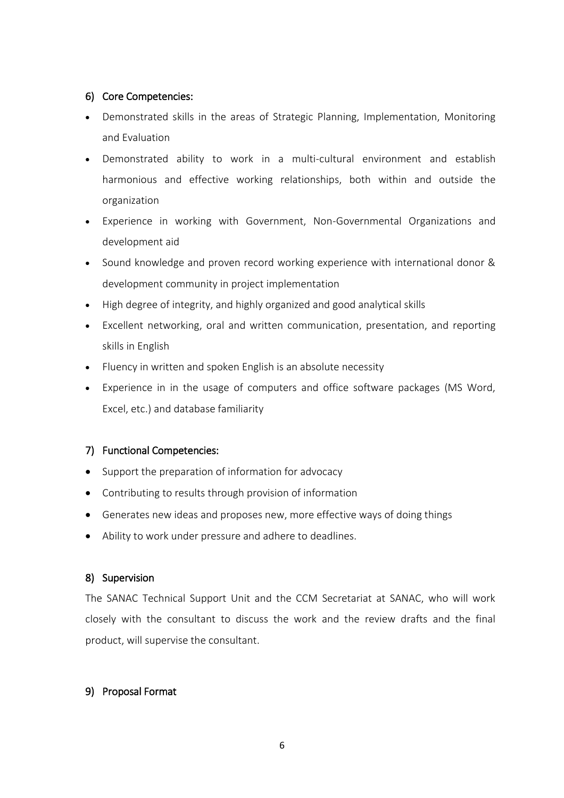# 6) Core Competencies:

- Demonstrated skills in the areas of Strategic Planning, Implementation, Monitoring and Evaluation
- Demonstrated ability to work in a multi-cultural environment and establish harmonious and effective working relationships, both within and outside the organization
- Experience in working with Government, Non-Governmental Organizations and development aid
- Sound knowledge and proven record working experience with international donor & development community in project implementation
- High degree of integrity, and highly organized and good analytical skills
- Excellent networking, oral and written communication, presentation, and reporting skills in English
- Fluency in written and spoken English is an absolute necessity
- Experience in in the usage of computers and office software packages (MS Word, Excel, etc.) and database familiarity

# 7) Functional Competencies:

- Support the preparation of information for advocacy
- Contributing to results through provision of information
- Generates new ideas and proposes new, more effective ways of doing things
- Ability to work under pressure and adhere to deadlines.

#### 8) Supervision

The SANAC Technical Support Unit and the CCM Secretariat at SANAC, who will work closely with the consultant to discuss the work and the review drafts and the final product, will supervise the consultant.

#### 9) Proposal Format